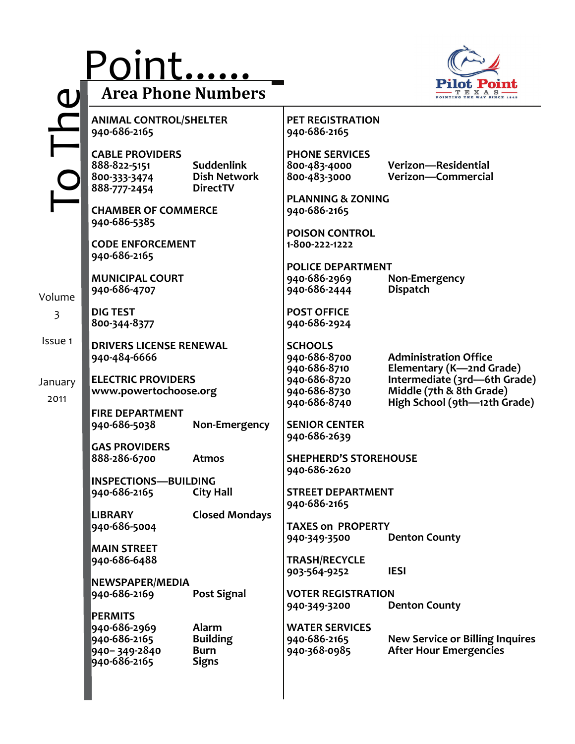|                 | Point<br><b>Area Phone Numbers</b>                                             |                                                                |                                                          | POINTING THE WAY SINCE                                                                   |
|-----------------|--------------------------------------------------------------------------------|----------------------------------------------------------------|----------------------------------------------------------|------------------------------------------------------------------------------------------|
|                 | <b>ANIMAL CONTROL/SHELTER</b><br>940-686-2165                                  |                                                                | <b>PET REGISTRATION</b><br>940-686-2165                  |                                                                                          |
|                 | <b>CABLE PROVIDERS</b><br>888-822-5151<br>800-333-3474<br>888-777-2454         | <b>Suddenlink</b><br><b>Dish Network</b><br><b>DirectTV</b>    | <b>PHONE SERVICES</b><br>800-483-4000<br>800-483-3000    | Verizon-Residential<br>Verizon-Commercial                                                |
|                 | <b>CHAMBER OF COMMERCE</b><br>940-686-5385                                     |                                                                | <b>PLANNING &amp; ZONING</b><br>940-686-2165             |                                                                                          |
|                 | <b>CODE ENFORCEMENT</b><br>940-686-2165                                        |                                                                | <b>POISON CONTROL</b><br>1-800-222-1222                  |                                                                                          |
| Volume          | <b>MUNICIPAL COURT</b><br>940-686-4707                                         |                                                                | <b>POLICE DEPARTMENT</b><br>940-686-2969<br>940-686-2444 | Non-Emergency<br><b>Dispatch</b>                                                         |
| 3               | <b>DIG TEST</b><br>800-344-8377                                                |                                                                | <b>POST OFFICE</b><br>940-686-2924                       |                                                                                          |
| Issue 1         | <b>DRIVERS LICENSE RENEWAL</b><br>940-484-6666                                 |                                                                | <b>SCHOOLS</b><br>940-686-8700<br>940-686-8710           | <b>Administration Office</b><br>Elementary (K-2nd Grade)                                 |
| January<br>2011 | <b>ELECTRIC PROVIDERS</b><br>www.powertochoose.org                             |                                                                | 940-686-8720<br>940-686-8730<br>940-686-8740             | Intermediate (3rd-6th Grade)<br>Middle (7th & 8th Grade)<br>High School (9th-12th Grade) |
|                 | <b>FIRE DEPARTMENT</b><br>940-686-5038                                         | Non-Emergency                                                  | <b>SENIOR CENTER</b><br>940-686-2639                     |                                                                                          |
|                 | <b>GAS PROVIDERS</b><br>888-286-6700                                           | <b>Atmos</b>                                                   | <b>SHEPHERD'S STOREHOUSE</b><br>940-686-2620             |                                                                                          |
|                 | <b>INSPECTIONS-BUILDING</b><br>940-686-2165                                    | <b>City Hall</b>                                               | <b>STREET DEPARTMENT</b><br>940-686-2165                 |                                                                                          |
|                 | <b>LIBRARY</b><br>940-686-5004                                                 | <b>Closed Mondays</b>                                          | <b>TAXES on PROPERTY</b><br>940-349-3500                 | <b>Denton County</b>                                                                     |
|                 | <b>MAIN STREET</b><br>940-686-6488                                             |                                                                | <b>TRASH/RECYCLE</b><br>903-564-9252                     | <b>IESI</b>                                                                              |
|                 | NEWSPAPER/MEDIA<br>940-686-2169                                                | <b>Post Signal</b>                                             | <b>VOTER REGISTRATION</b><br>940-349-3200                | <b>Denton County</b>                                                                     |
|                 | <b>PERMITS</b><br>940-686-2969<br>940-686-2165<br>940-349-2840<br>940-686-2165 | <b>Alarm</b><br><b>Building</b><br><b>Burn</b><br><b>Signs</b> | <b>WATER SERVICES</b><br>940-686-2165<br>940-368-0985    | <b>New Service or Billing Inquires</b><br><b>After Hour Emergencies</b>                  |
|                 |                                                                                |                                                                |                                                          |                                                                                          |